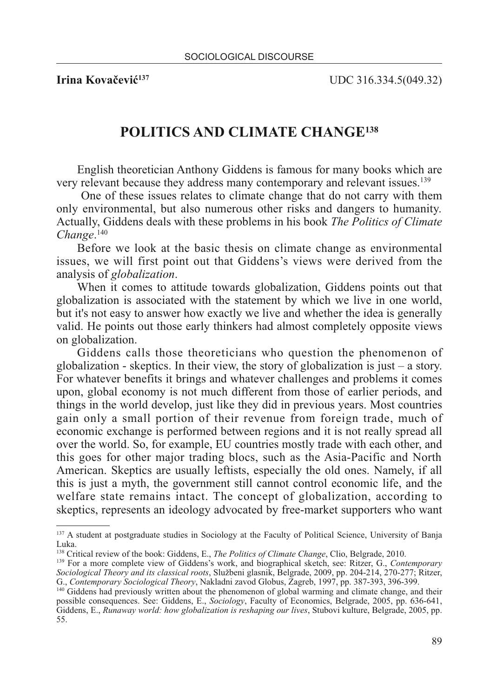**Irina Kovačević<sup>137</sup>** UDC 316.334.5(049.32)

## **POLITICS AND CLIMATE CHANGE138**

English theoretician Anthony Giddens is famous for many books which are very relevant because they address many contemporary and relevant issues.139

One of these issues relates to climate change that do not carry with them only environmental, but also numerous other risks and dangers to humanity. Actually, Giddens deals with these problems in his book *The Politics of Climate Change*. 140

Before we look at the basic thesis on climate change as environmental issues, we will first point out that Giddens's views were derived from the analysis of *globalization*.

When it comes to attitude towards globalization, Giddens points out that globalization is associated with the statement by which we live in one world, but it's not easy to answer how exactly we live and whether the idea is generally valid. He points out those early thinkers had almost completely opposite views on globalization.

Giddens calls those theoreticians who question the phenomenon of globalization - skeptics. In their view, the story of globalization is just – a story. For whatever benefits it brings and whatever challenges and problems it comes upon, global economy is not much different from those of earlier periods, and things in the world develop, just like they did in previous years. Most countries gain only a small portion of their revenue from foreign trade, much of economic exchange is performed between regions and it is not really spread all over the world. So, for example, EU countries mostly trade with each other, and this goes for other major trading blocs, such as the Asia-Pacific and North American. Skeptics are usually leftists, especially the old ones. Namely, if all this is just a myth, the government still cannot control economic life, and the welfare state remains intact. The concept of globalization, according to skeptics, represents an ideology advocated by free-market supporters who want

<sup>&</sup>lt;sup>137</sup> A student at postgraduate studies in Sociology at the Faculty of Political Science, University of Banja Luka.

<sup>138</sup> Critical review of the book: Giddens, E., *The Politics of Climate Change*, Clio, Belgrade, 2010.

<sup>139</sup> For a more complete view of Giddens's work, and biographical sketch, see: Ritzer, G., *Contemporary Sociological Theory and its classical roots*, Službeni glasnik, Belgrade, 2009, pp. 204-214, 270-277; Ritzer, G., *Contemporary Sociological Theory*, Nakladni zavod Globus, Zagreb, 1997, pp. 387-393, 396-399.

<sup>140</sup> Giddens had previously written about the phenomenon of global warming and climate change, and their possible consequences. See: Giddens, E., *Sociology*, Faculty of Economics, Belgrade, 2005, pp. 636-641, Giddens, E., *Runaway world: how globalization is reshaping our lives*, Stubovi kulture, Belgrade, 2005, pp. 55.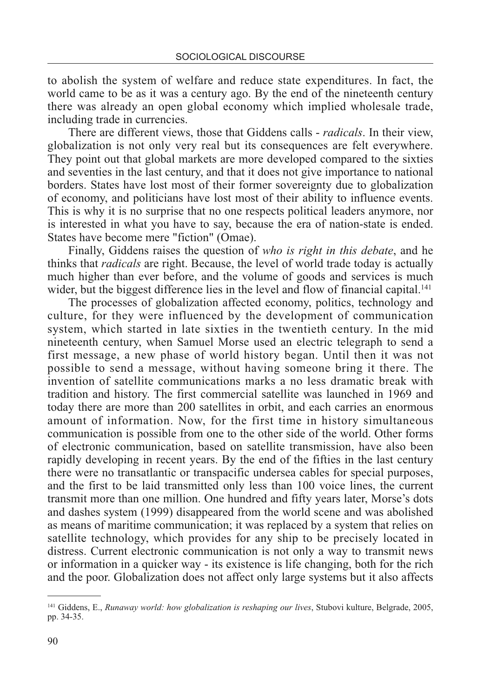to abolish the system of welfare and reduce state expenditures. In fact, the world came to be as it was a century ago. By the end of the nineteenth century there was already an open global economy which implied wholesale trade, including trade in currencies.

There are different views, those that Giddens calls - *radicals*. In their view, globalization is not only very real but its consequences are felt everywhere. They point out that global markets are more developed compared to the sixties and seventies in the last century, and that it does not give importance to national borders. States have lost most of their former sovereignty due to globalization of economy, and politicians have lost most of their ability to influence events. This is why it is no surprise that no one respects political leaders anymore, nor is interested in what you have to say, because the era of nation-state is ended. States have become mere "fiction" (Omae).

Finally, Giddens raises the question of *who is right in this debate*, and he thinks that *radicals* are right. Because, the level of world trade today is actually much higher than ever before, and the volume of goods and services is much wider, but the biggest difference lies in the level and flow of financial capital.<sup>141</sup>

The processes of globalization affected economy, politics, technology and culture, for they were influenced by the development of communication system, which started in late sixties in the twentieth century. In the mid nineteenth century, when Samuel Morse used an electric telegraph to send a first message, a new phase of world history began. Until then it was not possible to send a message, without having someone bring it there. The invention of satellite communications marks a no less dramatic break with tradition and history. The first commercial satellite was launched in 1969 and today there are more than 200 satellites in orbit, and each carries an enormous amount of information. Now, for the first time in history simultaneous communication is possible from one to the other side of the world. Other forms of electronic communication, based on satellite transmission, have also been rapidly developing in recent years. By the end of the fifties in the last century there were no transatlantic or transpacific undersea cables for special purposes, and the first to be laid transmitted only less than 100 voice lines, the current transmit more than one million. One hundred and fifty years later, Morse's dots and dashes system (1999) disappeared from the world scene and was abolished as means of maritime communication; it was replaced by a system that relies on satellite technology, which provides for any ship to be precisely located in distress. Current electronic communication is not only a way to transmit news or information in a quicker way - its existence is life changing, both for the rich and the poor. Globalization does not affect only large systems but it also affects

<sup>141</sup> Giddens, E., *Runaway world: how globalization is reshaping our lives*, Stubovi kulture, Belgrade, 2005, pp. 34-35.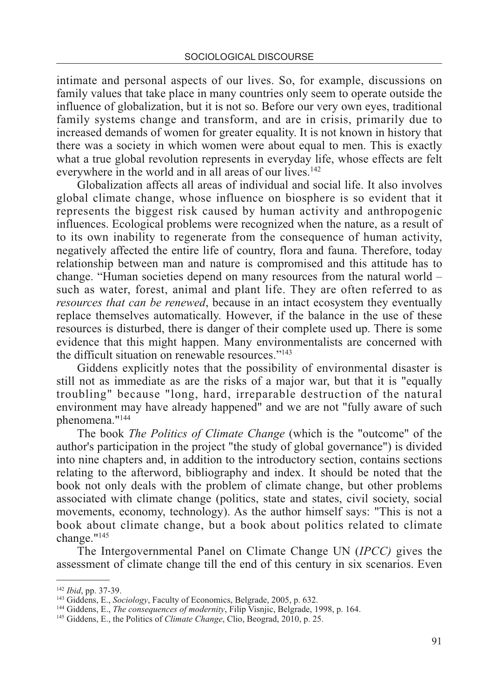intimate and personal aspects of our lives. So, for example, discussions on family values that take place in many countries only seem to operate outside the influence of globalization, but it is not so. Before our very own eyes, traditional family systems change and transform, and are in crisis, primarily due to increased demands of women for greater equality. It is not known in history that there was a society in which women were about equal to men. This is exactly what a true global revolution represents in everyday life, whose effects are felt everywhere in the world and in all areas of our lives.<sup>142</sup>

Globalization affects all areas of individual and social life. It also involves global climate change, whose influence on biosphere is so evident that it represents the biggest risk caused by human activity and anthropogenic influences. Ecological problems were recognized when the nature, as a result of to its own inability to regenerate from the consequence of human activity, negatively affected the entire life of country, flora and fauna. Therefore, today relationship between man and nature is compromised and this attitude has to change. "Human societies depend on many resources from the natural world – such as water, forest, animal and plant life. They are often referred to as *resources that can be renewed*, because in an intact ecosystem they eventually replace themselves automatically. However, if the balance in the use of these resources is disturbed, there is danger of their complete used up. There is some evidence that this might happen. Many environmentalists are concerned with the difficult situation on renewable resources."143

Giddens explicitly notes that the possibility of environmental disaster is still not as immediate as are the risks of a major war, but that it is "equally troubling" because "long, hard, irreparable destruction of the natural environment may have already happened" and we are not "fully aware of such phenomena."144

The book *The Politics of Climate Change* (which is the "outcome" of the author's participation in the project "the study of global governance") is divided into nine chapters and, in addition to the introductory section, contains sections relating to the afterword, bibliography and index. It should be noted that the book not only deals with the problem of climate change, but other problems associated with climate change (politics, state and states, civil society, social movements, economy, technology). As the author himself says: "This is not a book about climate change, but a book about politics related to climate change."145

The Intergovernmental Panel on Climate Change UN (*IPCC)* gives the assessment of climate change till the end of this century in six scenarios. Even

<sup>142</sup> *Ibid*, pp. 37-39.

<sup>143</sup> Giddens, E., *Sociology*, Faculty of Economics, Belgrade, 2005, p. 632.

<sup>144</sup> Giddens, E., *The consequences of modernity*, Filip Visnjic, Belgrade, 1998, p. 164.

<sup>145</sup> Giddens, E., the Politics of *Climate Change*, Clio, Beograd, 2010, p. 25.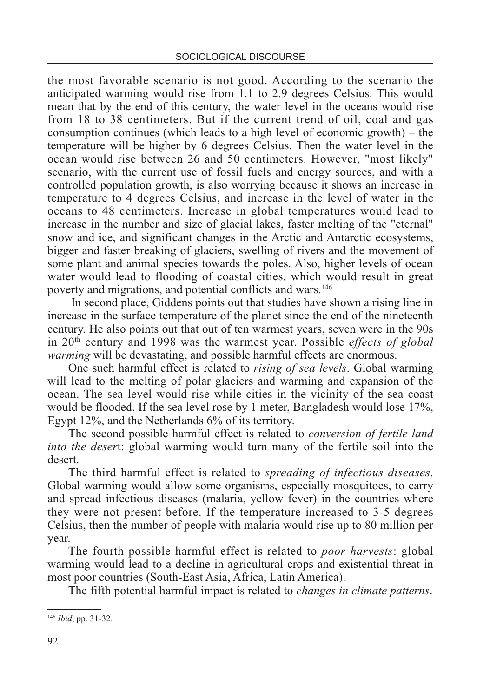the most favorable scenario is not good. According to the scenario the anticipated warming would rise from 1.1 to 2.9 degrees Celsius. This would mean that by the end of this century, the water level in the oceans would rise from 18 to 38 centimeters. But if the current trend of oil, coal and gas consumption continues (which leads to a high level of economic growth) – the temperature will be higher by 6 degrees Celsius. Then the water level in the ocean would rise between 26 and 50 centimeters. However, "most likely" scenario, with the current use of fossil fuels and energy sources, and with a controlled population growth, is also worrying because it shows an increase in temperature to 4 degrees Celsius, and increase in the level of water in the oceans to 48 centimeters. Increase in global temperatures would lead to increase in the number and size of glacial lakes, faster melting of the "eternal" snow and ice, and significant changes in the Arctic and Antarctic ecosystems, bigger and faster breaking of glaciers, swelling of rivers and the movement of some plant and animal species towards the poles. Also, higher levels of ocean water would lead to flooding of coastal cities, which would result in great poverty and migrations, and potential conflicts and wars.146

In second place, Giddens points out that studies have shown a rising line in increase in the surface temperature of the planet since the end of the nineteenth century. He also points out that out of ten warmest years, seven were in the 90s in 20th century and 1998 was the warmest year. Possible *effects of global warming* will be devastating, and possible harmful effects are enormous.

One such harmful effect is related to *rising of sea levels*. Global warming will lead to the melting of polar glaciers and warming and expansion of the ocean. The sea level would rise while cities in the vicinity of the sea coast would be flooded. If the sea level rose by 1 meter, Bangladesh would lose 17%, Egypt 12%, and the Netherlands 6% of its territory.

The second possible harmful effect is related to *conversion of fertile land into the deser*t: global warming would turn many of the fertile soil into the desert.

The third harmful effect is related to *spreading of infectious diseases*. Global warming would allow some organisms, especially mosquitoes, to carry and spread infectious diseases (malaria, yellow fever) in the countries where they were not present before. If the temperature increased to 3-5 degrees Celsius, then the number of people with malaria would rise up to 80 million per year.

The fourth possible harmful effect is related to *poor harvests*: global warming would lead to a decline in agricultural crops and existential threat in most poor countries (South-East Asia, Africa, Latin America).

The fifth potential harmful impact is related to *changes in climate patterns*.

<sup>146</sup> *Ibid*, pp. 31-32.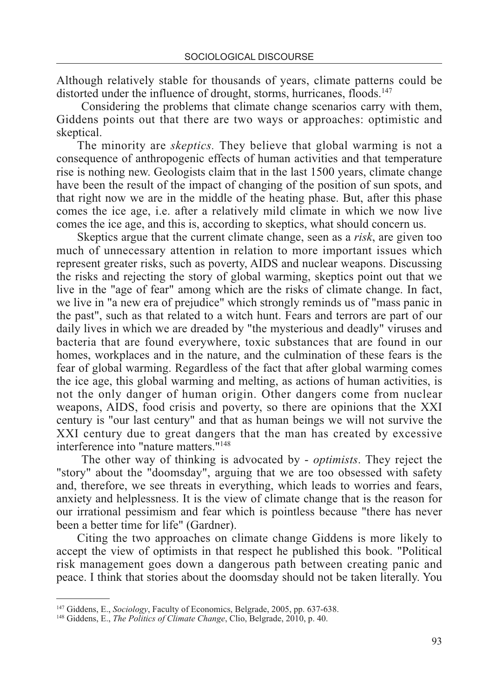Although relatively stable for thousands of years, climate patterns could be distorted under the influence of drought, storms, hurricanes, floods.<sup>147</sup>

Considering the problems that climate change scenarios carry with them, Giddens points out that there are two ways or approaches: optimistic and skeptical.

The minority are *skeptics.* They believe that global warming is not a consequence of anthropogenic effects of human activities and that temperature rise is nothing new. Geologists claim that in the last 1500 years, climate change have been the result of the impact of changing of the position of sun spots, and that right now we are in the middle of the heating phase. But, after this phase comes the ice age, i.e. after a relatively mild climate in which we now live comes the ice age, and this is, according to skeptics, what should concern us.

Skeptics argue that the current climate change, seen as a *risk*, are given too much of unnecessary attention in relation to more important issues which represent greater risks, such as poverty, AIDS and nuclear weapons. Discussing the risks and rejecting the story of global warming, skeptics point out that we live in the "age of fear" among which are the risks of climate change. In fact, we live in "a new era of prejudice" which strongly reminds us of "mass panic in the past", such as that related to a witch hunt. Fears and terrors are part of our daily lives in which we are dreaded by "the mysterious and deadly" viruses and bacteria that are found everywhere, toxic substances that are found in our homes, workplaces and in the nature, and the culmination of these fears is the fear of global warming. Regardless of the fact that after global warming comes the ice age, this global warming and melting, as actions of human activities, is not the only danger of human origin. Other dangers come from nuclear weapons, AIDS, food crisis and poverty, so there are opinions that the XXI century is "our last century" and that as human beings we will not survive the XXI century due to great dangers that the man has created by excessive interference into "nature matters."148

The other way of thinking is advocated by - *optimists*. They reject the "story" about the "doomsday", arguing that we are too obsessed with safety and, therefore, we see threats in everything, which leads to worries and fears, anxiety and helplessness. It is the view of climate change that is the reason for our irrational pessimism and fear which is pointless because "there has never been a better time for life" (Gardner).

Citing the two approaches on climate change Giddens is more likely to accept the view of optimists in that respect he published this book. "Political risk management goes down a dangerous path between creating panic and peace. I think that stories about the doomsday should not be taken literally. You

<sup>147</sup> Giddens, E., *Sociology*, Faculty of Economics, Belgrade, 2005, pp. 637-638.

<sup>148</sup> Giddens, E., *The Politics of Climate Change*, Clio, Belgrade, 2010, p. 40.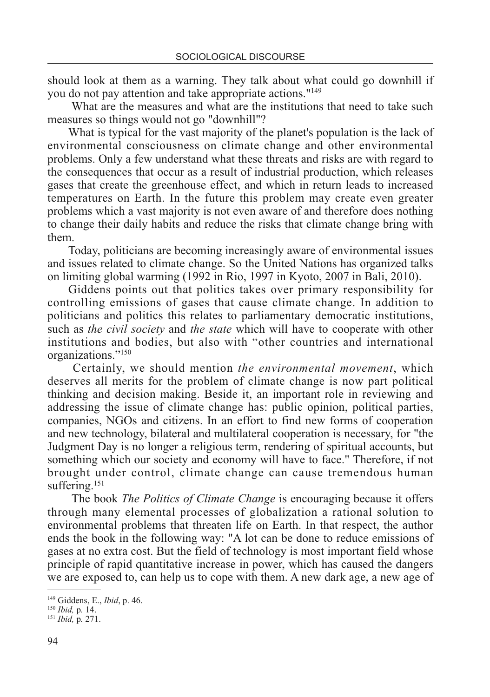should look at them as a warning. They talk about what could go downhill if you do not pay attention and take appropriate actions."149

What are the measures and what are the institutions that need to take such measures so things would not go "downhill"?

What is typical for the vast majority of the planet's population is the lack of environmental consciousness on climate change and other environmental problems. Only a few understand what these threats and risks are with regard to the consequences that occur as a result of industrial production, which releases gases that create the greenhouse effect, and which in return leads to increased temperatures on Earth. In the future this problem may create even greater problems which a vast majority is not even aware of and therefore does nothing to change their daily habits and reduce the risks that climate change bring with them.

Today, politicians are becoming increasingly aware of environmental issues and issues related to climate change. So the United Nations has organized talks on limiting global warming (1992 in Rio, 1997 in Kyoto, 2007 in Bali, 2010).

Giddens points out that politics takes over primary responsibility for controlling emissions of gases that cause climate change. In addition to politicians and politics this relates to parliamentary democratic institutions, such as *the civil society* and *the state* which will have to cooperate with other institutions and bodies, but also with "other countries and international organizations."150

Certainly, we should mention *the environmental movement*, which deserves all merits for the problem of climate change is now part political thinking and decision making. Beside it, an important role in reviewing and addressing the issue of climate change has: public opinion, political parties, companies, NGOs and citizens. In an effort to find new forms of cooperation and new technology, bilateral and multilateral cooperation is necessary, for "the Judgment Day is no longer a religious term, rendering of spiritual accounts, but something which our society and economy will have to face." Therefore, if not brought under control, climate change can cause tremendous human suffering.<sup>151</sup>

The book *The Politics of Climate Change* is encouraging because it offers through many elemental processes of globalization a rational solution to environmental problems that threaten life on Earth. In that respect, the author ends the book in the following way: "A lot can be done to reduce emissions of gases at no extra cost. But the field of technology is most important field whose principle of rapid quantitative increase in power, which has caused the dangers we are exposed to, can help us to cope with them. A new dark age, a new age of

<sup>149</sup> Giddens, E., *Ibid*, p. 46.

<sup>150</sup> *Ibid,* p*.* 14.

<sup>151</sup> *Ibid,* p*.* 271.